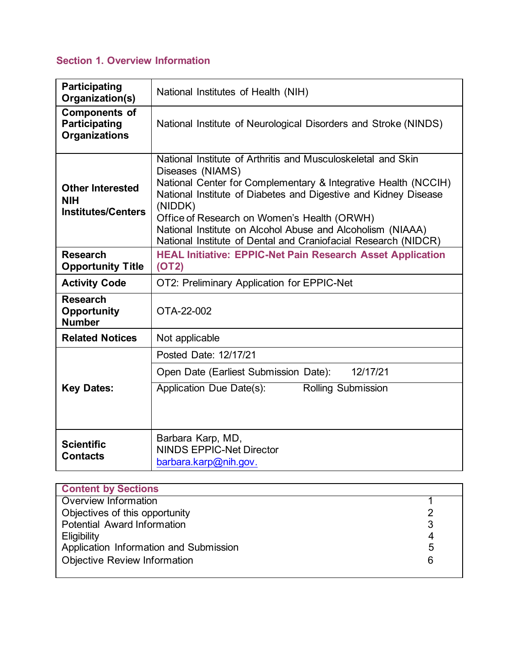# **Section 1. Overview Information**

| <b>Participating</b><br>Organization(s)                              | National Institutes of Health (NIH)                                                                                                                                                                                                                                                                                                                                                                             |  |
|----------------------------------------------------------------------|-----------------------------------------------------------------------------------------------------------------------------------------------------------------------------------------------------------------------------------------------------------------------------------------------------------------------------------------------------------------------------------------------------------------|--|
| <b>Components of</b><br><b>Participating</b><br><b>Organizations</b> | National Institute of Neurological Disorders and Stroke (NINDS)                                                                                                                                                                                                                                                                                                                                                 |  |
| <b>Other Interested</b><br><b>NIH</b><br><b>Institutes/Centers</b>   | National Institute of Arthritis and Musculoskeletal and Skin<br>Diseases (NIAMS)<br>National Center for Complementary & Integrative Health (NCCIH)<br>National Institute of Diabetes and Digestive and Kidney Disease<br>(NIDDK)<br>Office of Research on Women's Health (ORWH)<br>National Institute on Alcohol Abuse and Alcoholism (NIAAA)<br>National Institute of Dental and Craniofacial Research (NIDCR) |  |
| <b>Research</b><br><b>Opportunity Title</b>                          | <b>HEAL Initiative: EPPIC-Net Pain Research Asset Application</b><br>(OT2)                                                                                                                                                                                                                                                                                                                                      |  |
| <b>Activity Code</b>                                                 | OT2: Preliminary Application for EPPIC-Net                                                                                                                                                                                                                                                                                                                                                                      |  |
| <b>Research</b><br><b>Opportunity</b><br><b>Number</b>               | OTA-22-002                                                                                                                                                                                                                                                                                                                                                                                                      |  |
| <b>Related Notices</b>                                               | Not applicable                                                                                                                                                                                                                                                                                                                                                                                                  |  |
| <b>Key Dates:</b>                                                    | Posted Date: 12/17/21                                                                                                                                                                                                                                                                                                                                                                                           |  |
|                                                                      | 12/17/21<br>Open Date (Earliest Submission Date):                                                                                                                                                                                                                                                                                                                                                               |  |
|                                                                      | Rolling Submission<br>Application Due Date(s):                                                                                                                                                                                                                                                                                                                                                                  |  |
| <b>Scientific</b><br><b>Contacts</b>                                 | Barbara Karp, MD,<br><b>NINDS EPPIC-Net Director</b><br>barbara.karp@nih.gov.                                                                                                                                                                                                                                                                                                                                   |  |

| <b>Content by Sections</b>             |   |
|----------------------------------------|---|
| Overview Information                   |   |
| Objectives of this opportunity         | າ |
| Potential Award Information            | 3 |
| <b>Eligibility</b>                     |   |
| Application Information and Submission | 5 |
| <b>Objective Review Information</b>    | 6 |
|                                        |   |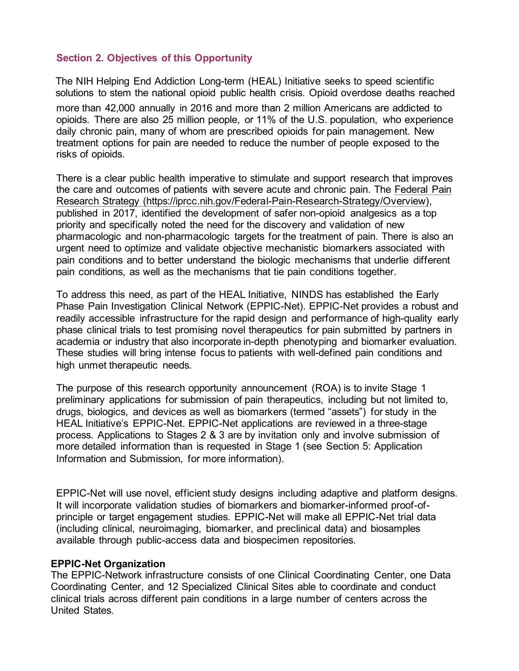# **Section 2. Objectives of this Opportunity**

The NIH Helping End Addiction Long-term (HEAL) Initiative seeks to speed scientific solutions to stem the national opioid public health crisis. Opioid overdose deaths reached

more than 42,000 annually in 2016 and more than 2 million Americans are addicted to opioids. There are also 25 million people, or 11% of the U.S. population, who experience daily chronic pain, many of whom are prescribed opioids for pain management. New treatment options for pain are needed to reduce the number of people exposed to the risks of opioids.

There is a clear public health imperative to stimulate and support research that improves the care and outcomes of patients with severe acute and chronic pain. The Federal Pain Research Strategy (https://iprcc.nih.gov/Federal-Pain-Research-Strategy/Overview), published in 2017, identified the development of safer non-opioid analgesics as a top priority and specifically noted the need for the discovery and validation of new pharmacologic and non-pharmacologic targets for the treatment of pain. There is also an urgent need to optimize and validate objective mechanistic biomarkers associated with pain conditions and to better understand the biologic mechanisms that underlie different pain conditions, as well as the mechanisms that tie pain conditions together.

To address this need, as part of the HEAL Initiative, NINDS has established the Early Phase Pain Investigation Clinical Network (EPPIC-Net). EPPIC-Net provides a robust and readily accessible infrastructure for the rapid design and performance of high-quality early phase clinical trials to test promising novel therapeutics for pain submitted by partners in academia or industry that also incorporate in-depth phenotyping and biomarker evaluation. These studies will bring intense focus to patients with well-defined pain conditions and high unmet therapeutic needs.

The purpose of this research opportunity announcement (ROA) is to invite Stage 1 preliminary applications for submission of pain therapeutics, including but not limited to, drugs, biologics, and devices as well as biomarkers (termed "assets") for study in the HEAL Initiative's EPPIC-Net. EPPIC-Net applications are reviewed in a three-stage process. Applications to Stages 2 & 3 are by invitation only and involve submission of more detailed information than is requested in Stage 1 (see Section 5: Application Information and Submission, for more information).

EPPIC-Net will use novel, efficient study designs including adaptive and platform designs. It will incorporate validation studies of biomarkers and biomarker-informed proof-ofprinciple or target engagement studies. EPPIC-Net will make all EPPIC-Net trial data (including clinical, neuroimaging, biomarker, and preclinical data) and biosamples available through public-access data and biospecimen repositories.

#### **EPPIC-Net Organization**

The EPPIC-Network infrastructure consists of one Clinical Coordinating Center, one Data Coordinating Center, and 12 Specialized Clinical Sites able to coordinate and conduct clinical trials across different pain conditions in a large number of centers across the United States.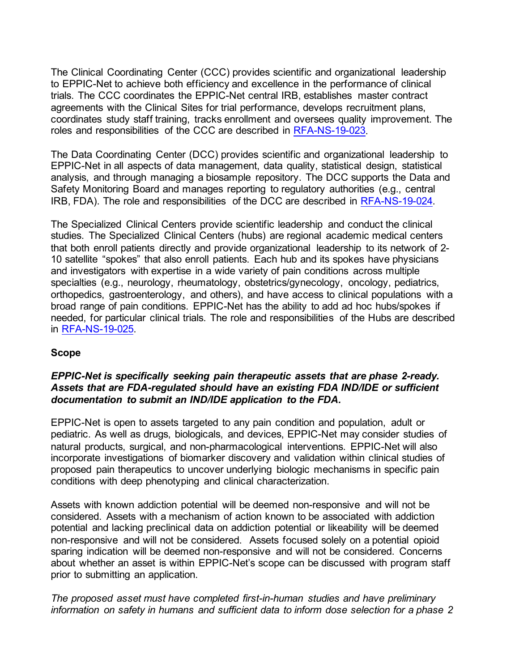The Clinical Coordinating Center (CCC) provides scientific and organizational leadership to EPPIC-Net to achieve both efficiency and excellence in the performance of clinical trials. The CCC coordinates the EPPIC-Net central IRB, establishes master contract agreements with the Clinical Sites for trial performance, develops recruitment plans, coordinates study staff training, tracks enrollment and oversees quality improvement. The roles and responsibilities of the CCC are described in [RFA-NS-19-023.](https://grants.nih.gov/grants/guide/rfa-files/RFA-NS-19-023.html)

The Data Coordinating Center (DCC) provides scientific and organizational leadership to EPPIC-Net in all aspects of data management, data quality, statistical design, statistical analysis, and through managing a biosample repository. The DCC supports the Data and Safety Monitoring Board and manages reporting to regulatory authorities (e.g., central IRB, FDA). The role and responsibilities of the DCC are described in [RFA-NS-19-024.](https://grants.nih.gov/grants/guide/rfa-files/RFA-NS-19-024.html) 

The Specialized Clinical Centers provide scientific leadership and conduct the clinical studies. The Specialized Clinical Centers (hubs) are regional academic medical centers that both enroll patients directly and provide organizational leadership to its network of 2- 10 satellite "spokes" that also enroll patients. Each hub and its spokes have physicians and investigators with expertise in a wide variety of pain conditions across multiple specialties (e.g., neurology, rheumatology, obstetrics/gynecology, oncology, pediatrics, orthopedics, gastroenterology, and others), and have access to clinical populations with a broad range of pain conditions. EPPIC-Net has the ability to add ad hoc hubs/spokes if needed, for particular clinical trials. The role and responsibilities of the Hubs are described in [RFA-NS-19-025.](https://grants.nih.gov/grants/guide/rfa-files/RFA-NS-19-025.html) 

## **Scope**

## *EPPIC-Net is specifically seeking pain therapeutic assets that are phase 2-ready. Assets that are FDA-regulated should have an existing FDA IND/IDE or sufficient documentation to submit an IND/IDE application to the FDA.*

EPPIC-Net is open to assets targeted to any pain condition and population, adult or pediatric. As well as drugs, biologicals, and devices, EPPIC-Net may consider studies of natural products, surgical, and non-pharmacological interventions. EPPIC-Net will also incorporate investigations of biomarker discovery and validation within clinical studies of proposed pain therapeutics to uncover underlying biologic mechanisms in specific pain conditions with deep phenotyping and clinical characterization.

Assets with known addiction potential will be deemed non-responsive and will not be considered. Assets with a mechanism of action known to be associated with addiction potential and lacking preclinical data on addiction potential or likeability will be deemed non-responsive and will not be considered. Assets focused solely on a potential opioid sparing indication will be deemed non-responsive and will not be considered. Concerns about whether an asset is within EPPIC-Net's scope can be discussed with program staff prior to submitting an application.

*The proposed asset must have completed first-in-human studies and have preliminary information on safety in humans and sufficient data to inform dose selection for a phase 2*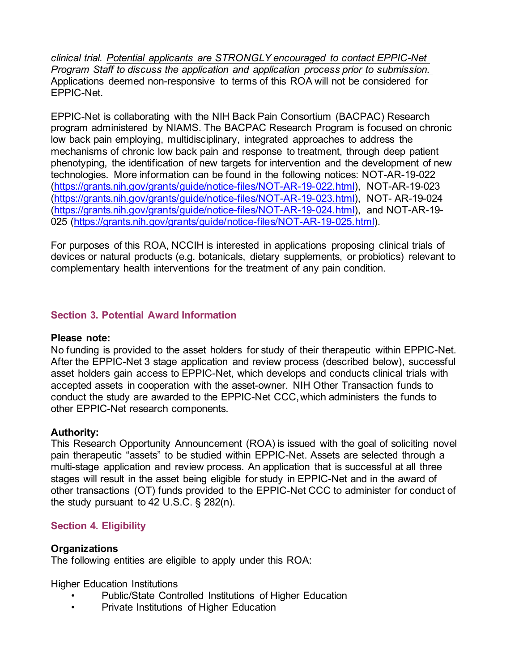*clinical trial. Potential applicants are STRONGLY encouraged to contact EPPIC-Net Program Staff to discuss the application and application process prior to submission.*  Applications deemed non-responsive to terms of this ROA will not be considered for EPPIC-Net.

EPPIC-Net is collaborating with the NIH Back Pain Consortium (BACPAC) Research program administered by NIAMS. The BACPAC Research Program is focused on chronic low back pain employing, multidisciplinary, integrated approaches to address the mechanisms of chronic low back pain and response to treatment, through deep patient phenotyping, the identification of new targets for intervention and the development of new technologies. More information can be found in the following notices: NOT-AR-19-022 [\(https://grants.nih.gov/grants/guide/notice-files/NOT-AR-19-022.html\),](https://grants.nih.gov/grants/guide/notice-files/NOT-AR-19-022.html) NOT-AR-19-023 [\(https://grants.nih.gov/grants/guide/notice-files/NOT-AR-19-023.html\),](https://grants.nih.gov/grants/guide/notice-files/NOT-AR-19-023.html) NOT- AR-19-024 [\(https://grants.nih.gov/grants/guide/notice-files/NOT-AR-19-024.html\),](https://grants.nih.gov/grants/guide/notice-files/NOT-AR-19-024.html) and NOT-AR-19- 025 [\(https://grants.nih.gov/grants/guide/notice-files/NOT-AR-19-025.html\).](https://grants.nih.gov/grants/guide/notice-files/NOT-AR-19-025.html)

For purposes of this ROA, NCCIH is interested in applications proposing clinical trials of devices or natural products (e.g. botanicals, dietary supplements, or probiotics) relevant to complementary health interventions for the treatment of any pain condition.

# **Section 3. Potential Award Information**

#### **Please note:**

No funding is provided to the asset holders for study of their therapeutic within EPPIC-Net. After the EPPIC-Net 3 stage application and review process (described below), successful asset holders gain access to EPPIC-Net, which develops and conducts clinical trials with accepted assets in cooperation with the asset-owner. NIH Other Transaction funds to conduct the study are awarded to the EPPIC-Net CCC,which administers the funds to other EPPIC-Net research components.

## **Authority:**

This Research Opportunity Announcement (ROA) is issued with the goal of soliciting novel pain therapeutic "assets" to be studied within EPPIC-Net. Assets are selected through a multi-stage application and review process. An application that is successful at all three stages will result in the asset being eligible for study in EPPIC-Net and in the award of other transactions (OT) funds provided to the EPPIC-Net CCC to administer for conduct of the study pursuant to 42 U.S.C. § 282(n).

# **Section 4. Eligibility**

## **Organizations**

The following entities are eligible to apply under this ROA:

Higher Education Institutions

- Public/State Controlled Institutions of Higher Education
- Private Institutions of Higher Education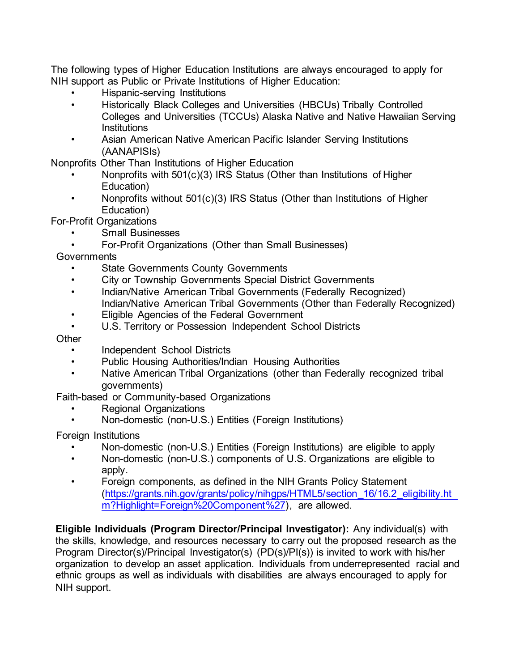The following types of Higher Education Institutions are always encouraged to apply for NIH support as Public or Private Institutions of Higher Education:

- Hispanic-serving Institutions
- Historically Black Colleges and Universities (HBCUs) Tribally Controlled Colleges and Universities (TCCUs) Alaska Native and Native Hawaiian Serving **Institutions**
- Asian American Native American Pacific Islander Serving Institutions (AANAPISIs)

Nonprofits Other Than Institutions of Higher Education

- Nonprofits with 501(c)(3) IRS Status (Other than Institutions of Higher Education)
- Nonprofits without 501(c)(3) IRS Status (Other than Institutions of Higher Education)

For-Profit Organizations

- Small Businesses
- For-Profit Organizations (Other than Small Businesses)

**Governments** 

- **State Governments County Governments**
- City or Township Governments Special District Governments
- Indian/Native American Tribal Governments (Federally Recognized) Indian/Native American Tribal Governments (Other than Federally Recognized)
- Eligible Agencies of the Federal Government
- U.S. Territory or Possession Independent School Districts

**Other** 

- Independent School Districts
- Public Housing Authorities/Indian Housing Authorities
- Native American Tribal Organizations (other than Federally recognized tribal governments)

Faith-based or Community-based Organizations

- Regional Organizations
- Non-domestic (non-U.S.) Entities (Foreign Institutions)

Foreign Institutions

- Non-domestic (non-U.S.) Entities (Foreign Institutions) are eligible to apply
- Non-domestic (non-U.S.) components of U.S. Organizations are eligible to apply.
- Foreign components, as defined in the NIH Grants Policy Statement [\(https://grants.nih.gov/grants/policy/nihgps/HTML5/section\\_16/16.2\\_eligibility.ht](https://grants.nih.gov/grants/policy/nihgps/HTML5/section_16/16.2_eligibility.htm?Highlight=Foreign%20Component%27) [m?Highlight=Foreign%20Component%27\),](https://grants.nih.gov/grants/policy/nihgps/HTML5/section_16/16.2_eligibility.htm?Highlight=Foreign%20Component%27) are allowed.

**Eligible Individuals (Program Director/Principal Investigator):** Any individual(s) with the skills, knowledge, and resources necessary to carry out the proposed research as the Program Director(s)/Principal Investigator(s) (PD(s)/PI(s)) is invited to work with his/her organization to develop an asset application. Individuals from underrepresented racial and ethnic groups as well as individuals with disabilities are always encouraged to apply for NIH support.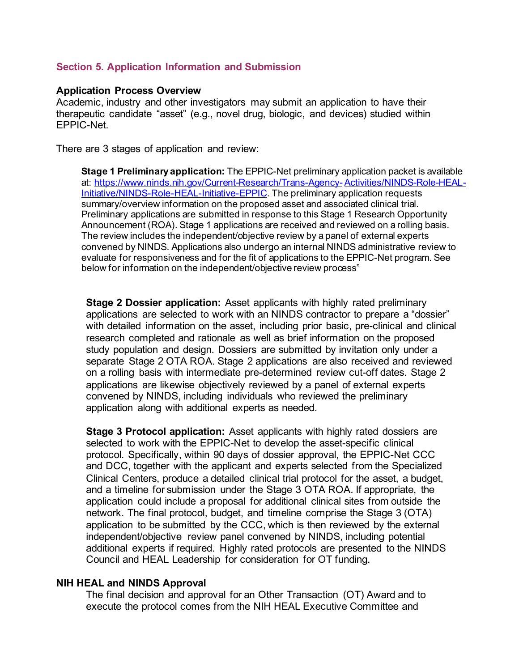#### **Section 5. Application Information and Submission**

#### **Application Process Overview**

Academic, industry and other investigators may submit an application to have their therapeutic candidate "asset" (e.g., novel drug, biologic, and devices) studied within EPPIC-Net.

There are 3 stages of application and review:

**Stage 1 Preliminary application:** The EPPIC-Net preliminary application packet is available at: [https://www.ninds.nih.gov/Current-Research/Trans-Agency-Activities/NINDS-Role-HEAL-](https://www.ninds.nih.gov/Current-Research/Trans-Agency-Activities/NINDS-Role-HEAL-Initiative/NINDS-Role-HEAL-Initiative-EPPIC)[Initiative/NINDS-Role-HEAL-Initiative-EPPIC](https://www.ninds.nih.gov/Current-Research/Trans-Agency-Activities/NINDS-Role-HEAL-Initiative/NINDS-Role-HEAL-Initiative-EPPIC). The preliminary application requests summary/overview information on the proposed asset and associated clinical trial. Preliminary applications are submitted in response to this Stage 1 Research Opportunity Announcement (ROA). Stage 1 applications are received and reviewed on a rolling basis. The review includes the independent/objective review by a panel of external experts convened by NINDS. Applications also undergo an internal NINDS administrative review to evaluate for responsiveness and for the fit of applications to the EPPIC-Net program. See below for information on the independent/objective review process"

**Stage 2 Dossier application:** Asset applicants with highly rated preliminary applications are selected to work with an NINDS contractor to prepare a "dossier" with detailed information on the asset, including prior basic, pre-clinical and clinical research completed and rationale as well as brief information on the proposed study population and design. Dossiers are submitted by invitation only under a separate Stage 2 OTA ROA. Stage 2 applications are also received and reviewed on a rolling basis with intermediate pre-determined review cut-off dates. Stage 2 applications are likewise objectively reviewed by a panel of external experts convened by NINDS, including individuals who reviewed the preliminary application along with additional experts as needed.

**Stage 3 Protocol application:** Asset applicants with highly rated dossiers are selected to work with the EPPIC-Net to develop the asset-specific clinical protocol. Specifically, within 90 days of dossier approval, the EPPIC-Net CCC and DCC, together with the applicant and experts selected from the Specialized Clinical Centers, produce a detailed clinical trial protocol for the asset, a budget, and a timeline for submission under the Stage 3 OTA ROA. If appropriate, the application could include a proposal for additional clinical sites from outside the network. The final protocol, budget, and timeline comprise the Stage 3 (OTA) application to be submitted by the CCC, which is then reviewed by the external independent/objective review panel convened by NINDS, including potential additional experts if required. Highly rated protocols are presented to the NINDS Council and HEAL Leadership for consideration for OT funding.

#### **NIH HEAL and NINDS Approval**

The final decision and approval for an Other Transaction (OT) Award and to execute the protocol comes from the NIH HEAL Executive Committee and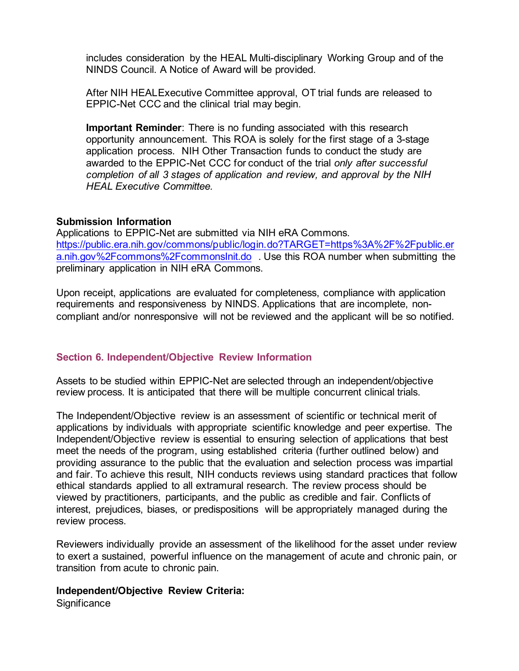includes consideration by the HEAL Multi-disciplinary Working Group and of the NINDS Council. A Notice of Award will be provided.

After NIH HEALExecutive Committee approval, OT trial funds are released to EPPIC-Net CCC and the clinical trial may begin.

**Important Reminder**: There is no funding associated with this research opportunity announcement. This ROA is solely for the first stage of a 3-stage application process. NIH Other Transaction funds to conduct the study are awarded to the EPPIC-Net CCC for conduct of the trial *only after successful completion of all 3 stages of application and review, and approval by the NIH HEAL Executive Committee.*

#### **Submission Information**

Applications to EPPIC-Net are submitted via NIH eRA Commons. [https://public.era.nih.gov/commons/public/login.do?TARGET=https%3A%2F%2Fpublic.er](https://public.era.nih.gov/commons/public/login.do?TARGET=https%3A%2F%2Fpublic.era.nih.gov%2Fcommons%2FcommonsInit.do) [a.nih.gov%2Fcommons%2FcommonsInit.do](https://public.era.nih.gov/commons/public/login.do?TARGET=https%3A%2F%2Fpublic.era.nih.gov%2Fcommons%2FcommonsInit.do) . Use this ROA number when submitting the preliminary application in NIH eRA Commons.

Upon receipt, applications are evaluated for completeness, compliance with application requirements and responsiveness by NINDS. Applications that are incomplete, noncompliant and/or nonresponsive will not be reviewed and the applicant will be so notified.

## **Section 6. Independent/Objective Review Information**

Assets to be studied within EPPIC-Net are selected through an independent/objective review process. It is anticipated that there will be multiple concurrent clinical trials.

The Independent/Objective review is an assessment of scientific or technical merit of applications by individuals with appropriate scientific knowledge and peer expertise. The Independent/Objective review is essential to ensuring selection of applications that best meet the needs of the program, using established criteria (further outlined below) and providing assurance to the public that the evaluation and selection process was impartial and fair. To achieve this result, NIH conducts reviews using standard practices that follow ethical standards applied to all extramural research. The review process should be viewed by practitioners, participants, and the public as credible and fair. Conflicts of interest, prejudices, biases, or predispositions will be appropriately managed during the review process.

Reviewers individually provide an assessment of the likelihood for the asset under review to exert a sustained, powerful influence on the management of acute and chronic pain, or transition from acute to chronic pain.

#### **Independent/Objective Review Criteria:**

**Significance**